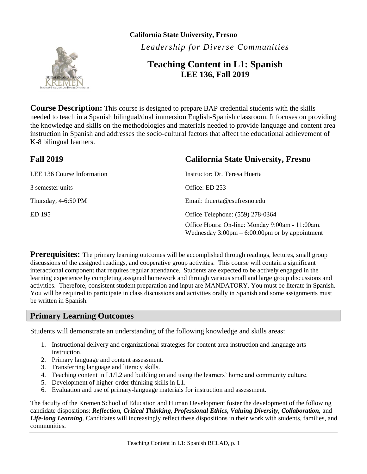

**California State University, Fresno** *Leadership for Diverse Communities*

### **Teaching Content in L1: Spanish LEE 136, Fall 2019**

**Course Description:** This course is designed to prepare BAP credential students with the skills needed to teach in a Spanish bilingual/dual immersion English-Spanish classroom. It focuses on providing the knowledge and skills on the methodologies and materials needed to provide language and content area instruction in Spanish and addresses the socio-cultural factors that affect the educational achievement of K-8 bilingual learners.

| <b>Fall 2019</b>                  | <b>California State University, Fresno</b>                                                                          |  |
|-----------------------------------|---------------------------------------------------------------------------------------------------------------------|--|
| <b>LEE 136 Course Information</b> | Instructor: Dr. Teresa Huerta                                                                                       |  |
| 3 semester units                  | Office: ED 253                                                                                                      |  |
| Thursday, 4-6:50 PM               | Email: thuerta@csufresno.edu                                                                                        |  |
| ED 195                            | Office Telephone: (559) 278-0364                                                                                    |  |
|                                   | Office Hours: On-line: Monday 9:00am - 11:00am.<br>Wednesday $3:00 \text{pm} - 6:00:00 \text{pm}$ or by appointment |  |

**Prerequisites:** The primary learning outcomes will be accomplished through readings, lectures, small group discussions of the assigned readings, and cooperative group activities. This course will contain a significant interactional component that requires regular attendance. Students are expected to be actively engaged in the learning experience by completing assigned homework and through various small and large group discussions and activities. Therefore, consistent student preparation and input are MANDATORY. You must be literate in Spanish. You will be required to participate in class discussions and activities orally in Spanish and some assignments must be written in Spanish.

### **Primary Learning Outcomes**

Students will demonstrate an understanding of the following knowledge and skills areas:

- 1. Instructional delivery and organizational strategies for content area instruction and language arts instruction.
- 2. Primary language and content assessment.
- 3. Transferring language and literacy skills.
- 4. Teaching content in L1/L2 and building on and using the learners' home and community culture.
- 5. Development of higher-order thinking skills in L1.
- 6. Evaluation and use of primary-language materials for instruction and assessment.

The faculty of the Kremen School of Education and Human Development foster the development of the following candidate dispositions: *Reflection, Critical Thinking, Professional Ethics, Valuing Diversity, Collaboration,* and *Life-long Learning*. Candidates will increasingly reflect these dispositions in their work with students, families, and communities.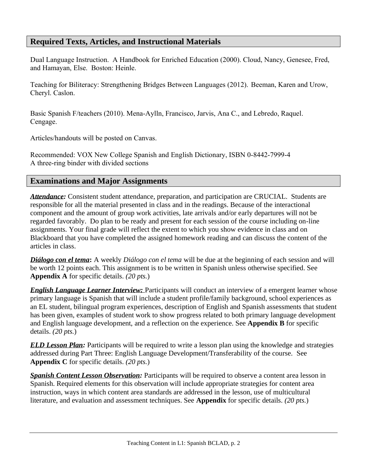### **Required Texts, Articles, and Instructional Materials**

Dual Language Instruction. A Handbook for Enriched Education (2000). Cloud, Nancy, Genesee, Fred, and Hamayan, Else. Boston: Heinle.

Teaching for Biliteracy: Strengthening Bridges Between Languages (2012). Beeman, Karen and Urow, Cheryl. Caslon.

Basic Spanish F/teachers (2010). Mena-Aylln, Francisco, Jarvis, Ana C., and Lebredo, Raquel. Cengage.

Articles/handouts will be posted on Canvas.

Recommended: VOX New College Spanish and English Dictionary, ISBN 0-8442-7999-4 A three-ring binder with divided sections

### **Examinations and Major Assignments**

*Attendance:* Consistent student attendance, preparation, and participation are CRUCIAL. Students are responsible for all the material presented in class and in the readings. Because of the interactional component and the amount of group work activities, late arrivals and/or early departures will not be regarded favorably. Do plan to be ready and present for each session of the course including on-line assignments*.* Your final grade will reflect the extent to which you show evidence in class and on Blackboard that you have completed the assigned homework reading and can discuss the content of the articles in class.

*Diálogo con el tema***:** A weekly *Diálogo con el tema* will be due at the beginning of each session and will be worth 12 points each. This assignment is to be written in Spanish unless otherwise specified. See **Appendix A** for specific details. *(20 pts.*)

*English Language Learner Interview:* Participants will conduct an interview of a emergent learner whose primary language is Spanish that will include a student profile/family background, school experiences as an EL student, bilingual program experiences, description of English and Spanish assessments that student has been given, examples of student work to show progress related to both primary language development and English language development, and a reflection on the experience. See **Appendix B** for specific details. *(20 pts.*)

*ELD Lesson Plan:* Participants will be required to write a lesson plan using the knowledge and strategies addressed during Part Three: English Language Development/Transferability of the course. See **Appendix C** for specific details. *(20 pts.*)

*Spanish Content Lesson Observation:* Participants will be required to observe a content area lesson in Spanish. Required elements for this observation will include appropriate strategies for content area instruction, ways in which content area standards are addressed in the lesson, use of multicultural literature, and evaluation and assessment techniques. See **Appendix** for specific details. *(20 pts.*)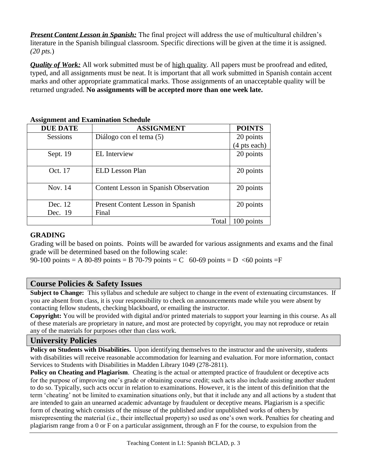*Present Content Lesson in Spanish:* The final project will address the use of multicultural children's literature in the Spanish bilingual classroom. Specific directions will be given at the time it is assigned. *(20 pts.*)

*Quality of Work:* All work submitted must be of high quality. All papers must be proofread and edited, typed, and all assignments must be neat. It is important that all work submitted in Spanish contain accent marks and other appropriate grammatical marks. Those assignments of an unacceptable quality will be returned ungraded. **No assignments will be accepted more than one week late.**

| -<br><b>DUE DATE</b> | <b>ASSIGNMENT</b>                     | <b>POINTS</b> |
|----------------------|---------------------------------------|---------------|
| <b>Sessions</b>      | Diálogo con el tema (5)               | 20 points     |
|                      |                                       | (4 pts each)  |
| Sept. 19             | <b>EL</b> Interview                   | 20 points     |
|                      |                                       |               |
| Oct. 17              | ELD Lesson Plan                       | 20 points     |
|                      |                                       |               |
| Nov. 14              | Content Lesson in Spanish Observation | 20 points     |
|                      |                                       |               |
| Dec. 12              | Present Content Lesson in Spanish     | 20 points     |
| Dec. 19              | Final                                 |               |
|                      | Total                                 | 100 points    |

#### **Assignment and Examination Schedule**

### **GRADING**

Grading will be based on points. Points will be awarded for various assignments and exams and the final grade will be determined based on the following scale:

90-100 points = A 80-89 points = B 70-79 points = C 60-69 points = D  $\lt 60$  points = F

### **Course Policies & Safety Issues**

**Subject to Change:** This syllabus and schedule are subject to change in the event of extenuating circumstances. If you are absent from class, it is your responsibility to check on announcements made while you were absent by contacting fellow students, checking blackboard, or emailing the instructor.

**Copyright:** You will be provided with digital and/or printed materials to support your learning in this course. As all of these materials are proprietary in nature, and most are protected by copyright, you may not reproduce or retain any of the materials for purposes other than class work.

### **University Policies**

**Policy on Students with Disabilities.** Upon identifying themselves to the instructor and the university, students with disabilities will receive reasonable accommodation for learning and evaluation. For more information, contact Services to Students with Disabilities in Madden Library 1049 (278-2811).

**Policy on Cheating and Plagiarism.** Cheating is the actual or attempted practice of fraudulent or deceptive acts for the purpose of improving one's grade or obtaining course credit; such acts also include assisting another student to do so. Typically, such acts occur in relation to examinations. However, it is the intent of this definition that the term 'cheating' not be limited to examination situations only, but that it include any and all actions by a student that are intended to gain an unearned academic advantage by fraudulent or deceptive means. Plagiarism is a specific form of cheating which consists of the misuse of the published and/or unpublished works of others by misrepresenting the material (i.e., their intellectual property) so used as one's own work. Penalties for cheating and plagiarism range from a 0 or F on a particular assignment, through an F for the course, to expulsion from the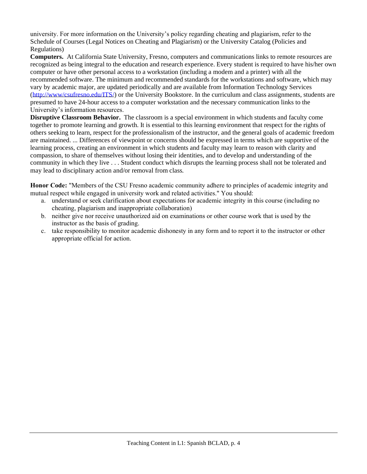university. For more information on the University's policy regarding cheating and plagiarism, refer to the Schedule of Courses (Legal Notices on Cheating and Plagiarism) or the University Catalog (Policies and Regulations)

**Computers.** At California State University, Fresno, computers and communications links to remote resources are recognized as being integral to the education and research experience. Every student is required to have his/her own computer or have other personal access to a workstation (including a modem and a printer) with all the recommended software. The minimum and recommended standards for the workstations and software, which may vary by academic major, are updated periodically and are available from Information Technology Services [\(http://www/csufresno.edu/ITS/\)](http://www/csufresno.edu/ITS/) or the University Bookstore. In the curriculum and class assignments, students are presumed to have 24-hour access to a computer workstation and the necessary communication links to the University's information resources.

**Disruptive Classroom Behavior.** The classroom is a special environment in which students and faculty come together to promote learning and growth. It is essential to this learning environment that respect for the rights of others seeking to learn, respect for the professionalism of the instructor, and the general goals of academic freedom are maintained. ... Differences of viewpoint or concerns should be expressed in terms which are supportive of the learning process, creating an environment in which students and faculty may learn to reason with clarity and compassion, to share of themselves without losing their identities, and to develop and understanding of the community in which they live . . . Student conduct which disrupts the learning process shall not be tolerated and may lead to disciplinary action and/or removal from class.

**Honor Code:** "Members of the CSU Fresno academic community adhere to principles of academic integrity and mutual respect while engaged in university work and related activities." You should:

- a. understand or seek clarification about expectations for academic integrity in this course (including no cheating, plagiarism and inappropriate collaboration)
- b. neither give nor receive unauthorized aid on examinations or other course work that is used by the instructor as the basis of grading.
- c. take responsibility to monitor academic dishonesty in any form and to report it to the instructor or other appropriate official for action.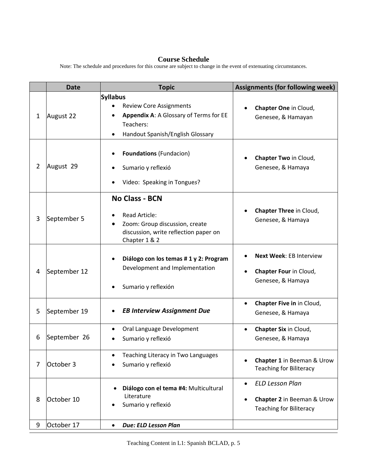#### **Course Schedule**

**Date Topic Assignments** (for following week) 1 August 22 **Syllabus** Review Core Assignments • **Appendix A**: A Glossary of Terms for EE Teachers: • Handout Spanish/English Glossary • **Chapter One** in Cloud, Genesee, & Hamayan 2 August 29 • **Foundations** (Fundacion) Sumario y reflexió • Video: Speaking in Tongue*s*? • **Chapter Two** in Cloud, Genesee, & Hamaya 3 September 5 **No Class - BCN** • Read Article: • Zoom: Group discussion, create discussion, write reflection paper on Chapter 1 & 2 • **Chapter Three** in Cloud, Genesee, & Hamaya 4 September 12 • **Diálogo con los temas # 1 y 2: Program** Development and Implementation • Sumario y reflexión • **Next Week**: EB Interview • **Chapter Four** in Cloud, Genesee, & Hamaya 5 September 19 • *EB Interview Assignment Due* • **Chapter Five in** in Cloud, Genesee, & Hamaya 6 September 26 • Oral Language Development • Sumario y reflexió • **Chapter Six** in Cloud, Genesee, & Hamaya 7 October 3 • Teaching Literacy in Two Languages • Sumario y reflexió • **Chapter 1** in Beeman & Urow Teaching for Biliteracy • **Diálogo con el tema #4:** Multicultural Literature • *ELD Lesson Plan*

Note: The schedule and procedures for this course are subject to change in the event of extenuating circumstances.

• **Chapter 2** in Beeman & Urow

Teaching for Biliteracy

Sumario y reflexió

9 October 17 • *Due: ELD Lesson Plan*

8 October 10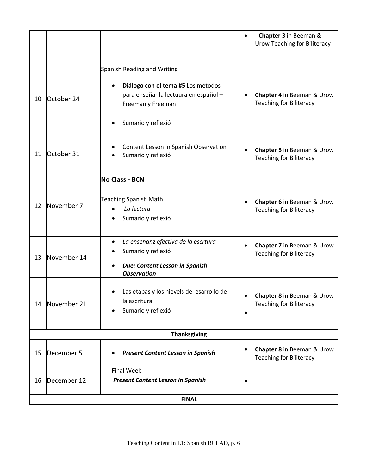|                     |             |                                                                                                                                                       | Chapter 3 in Beeman &<br><b>Urow Teaching for Biliteracy</b>              |  |
|---------------------|-------------|-------------------------------------------------------------------------------------------------------------------------------------------------------|---------------------------------------------------------------------------|--|
| 10                  | October 24  | Spanish Reading and Writing<br>Diálogo con el tema #5 Los métodos<br>para enseñar la lectuura en español -<br>Freeman y Freeman<br>Sumario y reflexió | Chapter 4 in Beeman & Urow<br><b>Teaching for Biliteracy</b>              |  |
| 11                  | October 31  | Content Lesson in Spanish Observation<br>Sumario y reflexió                                                                                           | Chapter 5 in Beeman & Urow<br><b>Teaching for Biliteracy</b>              |  |
| 12                  | November 7  | <b>No Class - BCN</b><br><b>Teaching Spanish Math</b><br>La lectura<br>Sumario y reflexió                                                             | Chapter 6 in Beeman & Urow<br><b>Teaching for Biliteracy</b>              |  |
| 13                  | November 14 | La ensenanz efectiva de la escrtura<br>Sumario y reflexió<br>Due: Content Lesson in Spanish<br><b>Observation</b>                                     | Chapter 7 in Beeman & Urow<br>$\bullet$<br><b>Teaching for Biliteracy</b> |  |
| 14                  | November 21 | Las etapas y los nievels del esarrollo de<br>la escritura<br>Sumario y reflexió                                                                       | <b>Chapter 8</b> in Beeman & Urow<br><b>Teaching for Biliteracy</b>       |  |
| <b>Thanksgiving</b> |             |                                                                                                                                                       |                                                                           |  |
| 15                  | December 5  | <b>Present Content Lesson in Spanish</b>                                                                                                              | Chapter 8 in Beeman & Urow<br><b>Teaching for Biliteracy</b>              |  |
| 16                  | December 12 | <b>Final Week</b><br><b>Present Content Lesson in Spanish</b>                                                                                         |                                                                           |  |
| <b>FINAL</b>        |             |                                                                                                                                                       |                                                                           |  |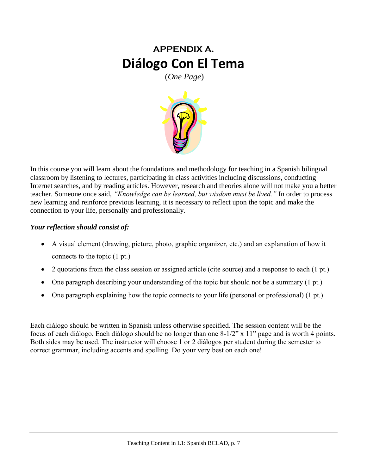## **APPENDIX A. Diálogo Con El Tema**

(*One Page*)



In this course you will learn about the foundations and methodology for teaching in a Spanish bilingual classroom by listening to lectures, participating in class activities including discussions, conducting Internet searches, and by reading articles. However, research and theories alone will not make you a better teacher. Someone once said, *"Knowledge can be learned, but wisdom must be lived."* In order to process new learning and reinforce previous learning, it is necessary to reflect upon the topic and make the connection to your life, personally and professionally.

### *Your reflection should consist of:*

- A visual element (drawing, picture, photo, graphic organizer, etc.) and an explanation of how it connects to the topic (1 pt.)
- 2 quotations from the class session or assigned article (cite source) and a response to each (1 pt.)
- One paragraph describing your understanding of the topic but should not be a summary (1 pt.)
- One paragraph explaining how the topic connects to your life (personal or professional) (1 pt.)

Each diálogo should be written in Spanish unless otherwise specified. The session content will be the focus of each diálogo. Each diálogo should be no longer than one 8-1/2" x 11" page and is worth 4 points. Both sides may be used. The instructor will choose 1 or 2 diálogos per student during the semester to correct grammar, including accents and spelling. Do your very best on each one!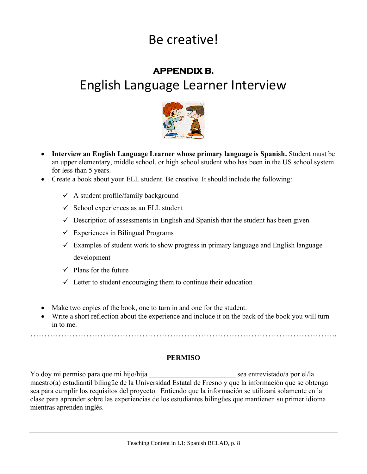# Be creative!

## **APPENDIX B.**  English Language Learner Interview



- **Interview an English Language Learner whose primary language is Spanish.** Student must be an upper elementary, middle school, or high school student who has been in the US school system for less than 5 years.
- Create a book about your ELL student. Be creative. It should include the following:
	- $\checkmark$  A student profile/family background
	- $\checkmark$  School experiences as an ELL student
	- $\checkmark$  Description of assessments in English and Spanish that the student has been given
	- $\checkmark$  Experiences in Bilingual Programs
	- $\checkmark$  Examples of student work to show progress in primary language and English language development
	- $\checkmark$  Plans for the future
	- $\checkmark$  Letter to student encouraging them to continue their education
- Make two copies of the book, one to turn in and one for the student.
- Write a short reflection about the experience and include it on the back of the book you will turn in to me.

………………………………………………………………………………………………..

### **PERMISO**

Yo doy mi permiso para que mi hijo/hija entrevistado/a por el/la maestro(a) estudiantil bilingüe de la Universidad Estatal de Fresno y que la información que se obtenga sea para cumplir los requisitos del proyecto. Entiendo que la información se utilizará solamente en la clase para aprender sobre las experiencias de los estudiantes bilingües que mantienen su primer idioma mientras aprenden inglés.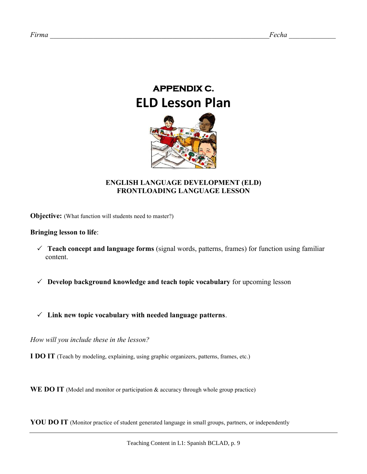# **APPENDIX C. ELD Lesson Plan**



### **ENGLISH LANGUAGE DEVELOPMENT (ELD) FRONTLOADING LANGUAGE LESSON**

**Objective:** (What function will students need to master?)

#### **Bringing lesson to life**:

- **Teach concept and language forms** (signal words, patterns, frames) for function using familiar content.
- **Develop background knowledge and teach topic vocabulary** for upcoming lesson
- **Link new topic vocabulary with needed language patterns**.

*How will you include these in the lesson?*

**I DO IT** (Teach by modeling, explaining, using graphic organizers, patterns, frames, etc.)

**WE DO IT** (Model and monitor or participation & accuracy through whole group practice)

**YOU DO IT** (Monitor practice of student generated language in small groups, partners, or independently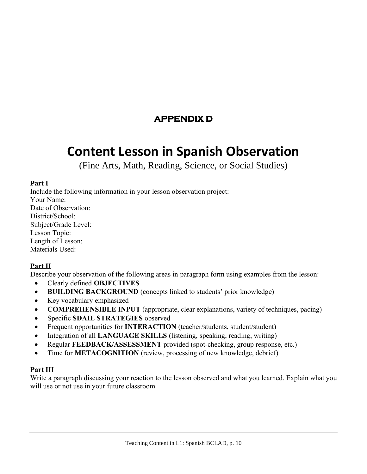### **APPENDIX D**

## **Content Lesson in Spanish Observation**

(Fine Arts, Math, Reading, Science, or Social Studies)

### **Part I**

Include the following information in your lesson observation project: Your Name: Date of Observation: District/School: Subject/Grade Level: Lesson Topic: Length of Lesson: Materials Used:

### **Part II**

Describe your observation of the following areas in paragraph form using examples from the lesson:

- Clearly defined **OBJECTIVES**
- **BUILDING BACKGROUND** (concepts linked to students' prior knowledge)
- Key vocabulary emphasized
- **COMPREHENSIBLE INPUT** (appropriate, clear explanations, variety of techniques, pacing)
- Specific **SDAIE STRATEGIES** observed
- Frequent opportunities for **INTERACTION** (teacher/students, student/student)
- Integration of all **LANGUAGE SKILLS** (listening, speaking, reading, writing)
- Regular **FEEDBACK/ASSESSMENT** provided (spot-checking, group response, etc.)
- Time for **METACOGNITION** (review, processing of new knowledge, debrief)

### **Part III**

Write a paragraph discussing your reaction to the lesson observed and what you learned. Explain what you will use or not use in your future classroom.